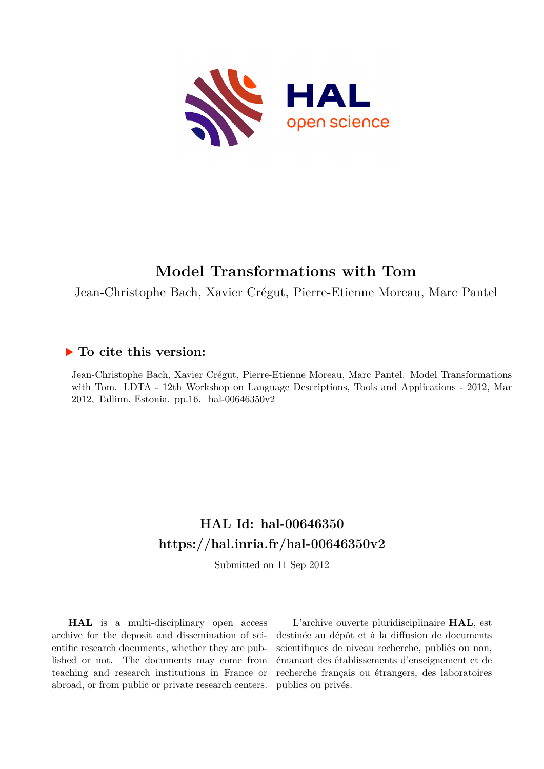

# **Model Transformations with Tom**

Jean-Christophe Bach, Xavier Crégut, Pierre-Etienne Moreau, Marc Pantel

## **To cite this version:**

Jean-Christophe Bach, Xavier Crégut, Pierre-Etienne Moreau, Marc Pantel. Model Transformations with Tom. LDTA - 12th Workshop on Language Descriptions, Tools and Applications - 2012, Mar 2012, Tallinn, Estonia. pp.16. hal-00646350v2

## **HAL Id: hal-00646350 <https://hal.inria.fr/hal-00646350v2>**

Submitted on 11 Sep 2012

**HAL** is a multi-disciplinary open access archive for the deposit and dissemination of scientific research documents, whether they are published or not. The documents may come from teaching and research institutions in France or abroad, or from public or private research centers.

L'archive ouverte pluridisciplinaire **HAL**, est destinée au dépôt et à la diffusion de documents scientifiques de niveau recherche, publiés ou non, émanant des établissements d'enseignement et de recherche français ou étrangers, des laboratoires publics ou privés.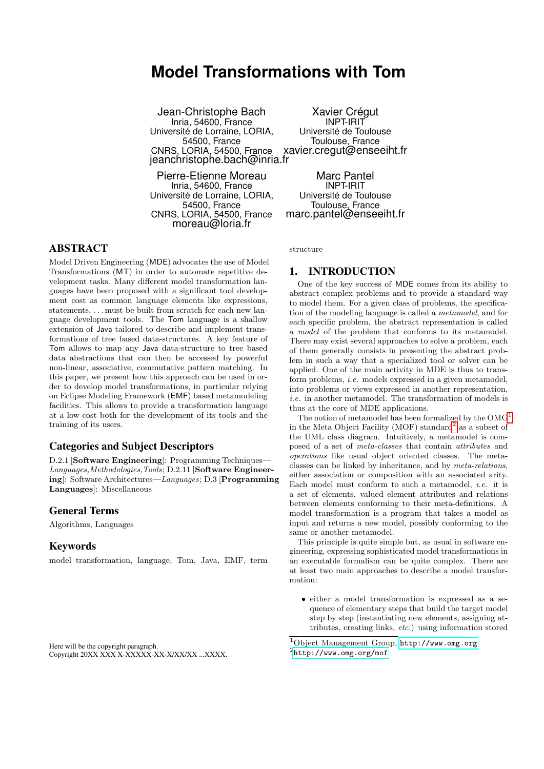## **Model Transformations with Tom**

Jean-Christophe Bach Inria, 54600, France Université de Lorraine, LORIA, 54500, France CNRS, LORIA, 54500, France jeanchristophe.bach@inria.fr

Xavier Crégut INPT-IRIT Université de Toulouse Toulouse, France xavier.cregut@enseeiht.fr

Pierre-Etienne Moreau Inria, 54600, France Université de Lorraine, LORIA, 54500, France CNRS, LORIA, 54500, France moreau@loria.fr

Marc Pantel INPT-IRIT Université de Toulouse Toulouse, France marc.pantel@enseeiht.fr

## ABSTRACT

Model Driven Engineering (MDE) advocates the use of Model Transformations (MT) in order to automate repetitive development tasks. Many different model transformation languages have been proposed with a significant tool development cost as common language elements like expressions, statements, ... must be built from scratch for each new language development tools. The Tom language is a shallow extension of Java tailored to describe and implement transformations of tree based data-structures. A key feature of Tom allows to map any Java data-structure to tree based data abstractions that can then be accessed by powerful non-linear, associative, commutative pattern matching. In this paper, we present how this approach can be used in order to develop model transformations, in particular relying on Eclipse Modeling Framework (EMF) based metamodeling facilities. This allows to provide a transformation language at a low cost both for the development of its tools and the training of its users.

## Categories and Subject Descriptors

D.2.1 [Software Engineering]: Programming Techniques-Languages,Methodologies,Tools; D.2.11 [Software Engineering]: Software Architectures—Languages; D.3 [Programming Languages]: Miscellaneous

### General Terms

Algorithms, Languages

### Keywords

model transformation, language, Tom, Java, EMF, term

Here will be the copyright paragraph. Copyright 20XX XXX X-XXXXX-XX-X/XX/XX ...XXXX. structure

#### 1. INTRODUCTION

One of the key success of MDE comes from its ability to abstract complex problems and to provide a standard way to model them. For a given class of problems, the specification of the modeling language is called a metamodel, and for each specific problem, the abstract representation is called a model of the problem that conforms to its metamodel. There may exist several approaches to solve a problem, each of them generally consists in presenting the abstract problem in such a way that a specialized tool or solver can be applied. One of the main activity in MDE is thus to transform problems, i.e. models expressed in a given metamodel, into problems or views expressed in another representation, i.e. in another metamodel. The transformation of models is thus at the core of MDE applications.

The notion of metamodel has been formalized by the  $OMG<sup>1</sup>$ in the Meta Object Facility (MOF) standard<sup>2</sup> as a subset of the UML class diagram. Intuitively, a metamodel is composed of a set of meta-classes that contain attributes and operations like usual object oriented classes. The metaclasses can be linked by inheritance, and by meta-relations, either association or composition with an associated arity. Each model must conform to such a metamodel, *i.e.* it is a set of elements, valued element attributes and relations between elements conforming to their meta-definitions. A model transformation is a program that takes a model as input and returns a new model, possibly conforming to the same or another metamodel.

This principle is quite simple but, as usual in software engineering, expressing sophisticated model transformations in an executable formalism can be quite complex. There are at least two main approaches to describe a model transformation:

• either a model transformation is expressed as a sequence of elementary steps that build the target model step by step (instantiating new elements, assigning attributes, creating links, etc.) using information stored

 $1$ Object Management Group, <http://www.omg.org>

<sup>2</sup> <http://www.omg.org/mof>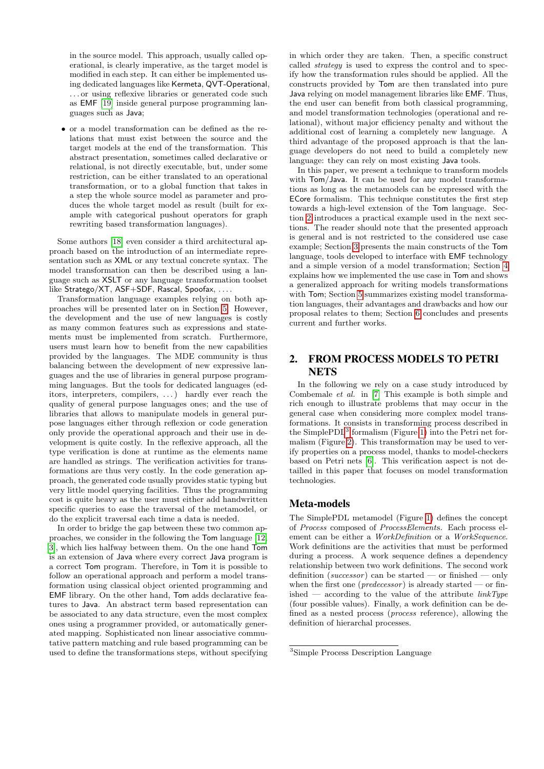in the source model. This approach, usually called operational, is clearly imperative, as the target model is modified in each step. It can either be implemented using dedicated languages like Kermeta, QVT-Operational, . . . or using reflexive libraries or generated code such as EMF [19] inside general purpose programming languages such as Java;

• or a model transformation can be defined as the relations that must exist between the source and the target models at the end of the transformation. This abstract presentation, sometimes called declarative or relational, is not directly executable, but, under some restriction, can be either translated to an operational transformation, or to a global function that takes in a step the whole source model as parameter and produces the whole target model as result (built for example with categorical pushout operators for graph rewriting based transformation languages).

Some authors [18] even consider a third architectural approach based on the introduction of an intermediate representation such as XML or any textual concrete syntax. The model transformation can then be described using a language such as XSLT or any language transformation toolset like Stratego/XT, ASF+SDF, Rascal, Spoofax, ....

Transformation language examples relying on both approaches will be presented later on in Section 5. However, the development and the use of new languages is costly as many common features such as expressions and statements must be implemented from scratch. Furthermore, users must learn how to benefit from the new capabilities provided by the languages. The MDE community is thus balancing between the development of new expressive languages and the use of libraries in general purpose programming languages. But the tools for dedicated languages (editors, interpreters, compilers, . . . ) hardly ever reach the quality of general purpose languages ones; and the use of libraries that allows to manipulate models in general purpose languages either through reflexion or code generation only provide the operational approach and their use in development is quite costly. In the reflexive approach, all the type verification is done at runtime as the elements name are handled as strings. The verification activities for transformations are thus very costly. In the code generation approach, the generated code usually provides static typing but very little model querying facilities. Thus the programming cost is quite heavy as the user must either add handwritten specific queries to ease the traversal of the metamodel, or do the explicit traversal each time a data is needed.

In order to bridge the gap between these two common approaches, we consider in the following the Tom language [12, 3], which lies halfway between them. On the one hand Tom is an extension of Java where every correct Java program is a correct Tom program. Therefore, in Tom it is possible to follow an operational approach and perform a model transformation using classical object oriented programming and EMF library. On the other hand, Tom adds declarative features to Java. An abstract term based representation can be associated to any data structure, even the most complex ones using a programmer provided, or automatically generated mapping. Sophisticated non linear associative commutative pattern matching and rule based programming can be used to define the transformations steps, without specifying

in which order they are taken. Then, a specific construct called strategy is used to express the control and to specify how the transformation rules should be applied. All the constructs provided by Tom are then translated into pure Java relying on model management libraries like EMF. Thus, the end user can benefit from both classical programming, and model transformation technologies (operational and relational), without major efficiency penalty and without the additional cost of learning a completely new language. A third advantage of the proposed approach is that the language developers do not need to build a completely new language: they can rely on most existing Java tools.

In this paper, we present a technique to transform models with Tom/Java. It can be used for any model transformations as long as the metamodels can be expressed with the ECore formalism. This technique constitutes the first step towards a high-level extension of the Tom language. Section 2 introduces a practical example used in the next sections. The reader should note that the presented approach is general and is not restricted to the considered use case example; Section 3 presents the main constructs of the Tom language, tools developed to interface with EMF technology and a simple version of a model transformation; Section 4 explains how we implemented the use case in Tom and shows a generalized approach for writing models transformations with Tom; Section 5 summarizes existing model transformation languages, their advantages and drawbacks and how our proposal relates to them; Section 6 concludes and presents current and further works.

## 2. FROM PROCESS MODELS TO PETRI **NETS**

In the following we rely on a case study introduced by Combemale et al. in [7] This example is both simple and rich enough to illustrate problems that may occur in the general case when considering more complex model transformations. It consists in transforming process described in the SimplePDL<sup>3</sup> formalism (Figure 1) into the Petri net formalism (Figure 2). This transformation may be used to verify properties on a process model, thanks to model-checkers based on Petri nets [6]. This verification aspect is not detailled in this paper that focuses on model transformation technologies.

## Meta-models

The SimplePDL metamodel (Figure 1) defines the concept of Process composed of ProcessElements. Each process element can be either a WorkDefinition or a WorkSequence. Work definitions are the activities that must be performed during a process. A work sequence defines a dependency relationship between two work definitions. The second work definition (successor) can be started — or finished — only when the first one (*predecessor*) is already started — or finished — according to the value of the attribute  $linkType$ (four possible values). Finally, a work definition can be defined as a nested process (process reference), allowing the definition of hierarchal processes.

<sup>&</sup>lt;sup>3</sup>Simple Process Description Language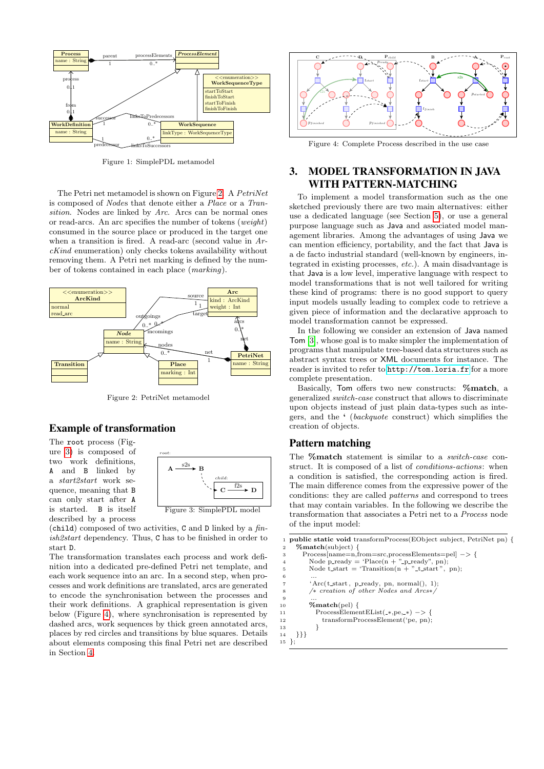

Figure 1: SimplePDL metamodel

The Petri net metamodel is shown on Figure 2. A PetriNet is composed of Nodes that denote either a Place or a Transition. Nodes are linked by Arc. Arcs can be normal ones or read-arcs. An arc specifies the number of tokens (weight) consumed in the source place or produced in the target one when a transition is fired. A read-arc (second value in ArcKind enumeration) only checks tokens availability without removing them. A Petri net marking is defined by the number of tokens contained in each place (marking).



Figure 2: PetriNet metamodel

## Example of transformation

The root process (Figure 3) is composed of two work definitions, A and B linked by a start2start work sequence, meaning that B can only start after A is started. B is itself described by a process



Figure 3: SimplePDL model

(child) composed of two activities, C and D linked by a  $fin$ ish2start dependency. Thus, C has to be finished in order to start D.

The transformation translates each process and work definition into a dedicated pre-defined Petri net template, and each work sequence into an arc. In a second step, when processes and work definitions are translated, arcs are generated to encode the synchronisation between the processes and their work definitions. A graphical representation is given below (Figure 4), where synchronisation is represented by dashed arcs, work sequences by thick green annotated arcs, places by red circles and transitions by blue squares. Details about elements composing this final Petri net are described in Section 4.



Figure 4: Complete Process described in the use case

## 3. MODEL TRANSFORMATION IN JAVA WITH PATTERN-MATCHING

To implement a model transformation such as the one sketched previously there are two main alternatives: either use a dedicated language (see Section 5), or use a general purpose language such as Java and associated model management libraries. Among the advantages of using Java we can mention efficiency, portability, and the fact that Java is a de facto industrial standard (well-known by engineers, integrated in existing processes, etc.). A main disadvantage is that Java is a low level, imperative language with respect to model transformations that is not well tailored for writing these kind of programs: there is no good support to query input models usually leading to complex code to retrieve a given piece of information and the declarative approach to model transformation cannot be expressed.

In the following we consider an extension of Java named Tom [3], whose goal is to make simpler the implementation of programs that manipulate tree-based data structures such as abstract syntax trees or XML documents for instance. The reader is invited to refer to <http://tom.loria.fr> for a more complete presentation.

Basically, Tom offers two new constructs: %match, a generalized switch-case construct that allows to discriminate upon objects instead of just plain data-types such as integers, and the ' (backquote construct) which simplifies the creation of objects.

## Pattern matching

The %match statement is similar to a *switch-case* construct. It is composed of a list of conditions-actions: when a condition is satisfied, the corresponding action is fired. The main difference comes from the expressive power of the conditions: they are called patterns and correspond to trees that may contain variables. In the following we describe the transformation that associates a Petri net to a Process node of the input model:

```
1 public static void transformProcess(EObject subject, PetriNet pn) {
    %match(subject) {
      3 Process[name=n,from=src,processElements=pel] −> {
        Node p ready = 'Place(n + "p ready", pn);
        Node t_ start = 'Transition(n + " _t + _t start", pn);
 6 ...
        'Arc(t\_start, p\_ready, pn, normal(), 1);8 /∗ creation of other Nodes and Arcs∗/
 9 ...
10 % match(pel) {
11 ProcessElementEList(_*,pe,_*) –> {
12 transformProcessElement('pe, pn);
13 }
14 } } }
15 };
```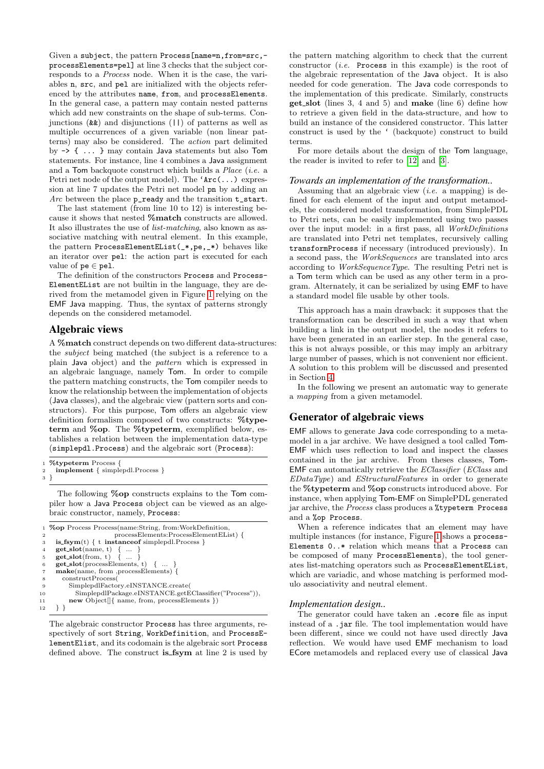Given a subject, the pattern Process[name=n,from=src, processElements=pel] at line 3 checks that the subject corresponds to a Process node. When it is the case, the variables n, src, and pel are initialized with the objects referenced by the attributes name, from, and processElements. In the general case, a pattern may contain nested patterns which add new constraints on the shape of sub-terms. Conjunctions (&&) and disjunctions (||) of patterns as well as multiple occurrences of a given variable (non linear patterns) may also be considered. The action part delimited by -> { ... } may contain Java statements but also Tom statements. For instance, line 4 combines a Java assignment and a Tom backquote construct which builds a Place (i.e. a Petri net node of the output model). The 'Arc(...) expression at line 7 updates the Petri net model pn by adding an Arc between the place p\_ready and the transition  $t$ \_start.

The last statement (from line 10 to 12) is interesting because it shows that nested %match constructs are allowed. It also illustrates the use of list-matching, also known as associative matching with neutral element. In this example, the pattern ProcessElementEList(\_\*,pe,\_\*) behaves like an iterator over pel: the action part is executed for each value of  $pe \in pel$ .

The definition of the constructors Process and Process-ElementEList are not builtin in the language, they are derived from the metamodel given in Figure 1 relying on the EMF Java mapping. Thus, the syntax of patterns strongly depends on the considered metamodel.

## Algebraic views

A %match construct depends on two different data-structures: the subject being matched (the subject is a reference to a plain Java object) and the pattern which is expressed in an algebraic language, namely Tom. In order to compile the pattern matching constructs, the Tom compiler needs to know the relationship between the implementation of objects (Java classes), and the algebraic view (pattern sorts and constructors). For this purpose, Tom offers an algebraic view definition formalism composed of two constructs: %typeterm and %op. The %typeterm, exemplified below, establishes a relation between the implementation data-type (simplepdl.Process) and the algebraic sort (Process):

```
1 %typeterm Process {
2 implement { simplepdl.Process }
```
3 }

The following %op constructs explains to the Tom compiler how a Java Process object can be viewed as an algebraic constructor, namely, Process:

```
1 %op Process Process(name:String, from:WorkDefinition,
2 processElements:ProcessElementEList) {
3 is fsym(t) { t instanceof simplepdl.Process }
 q set_slot(name, t) { ... }<br>5 get_slot(from, t) { ... }
    get\_slot (process Elements, t) { ...
    7 make(name, from ,processElements) {
      constructProcess(
9 SimplepdlFactory.eINSTANCE.create(
10 SimplepdlPackage.eINSTANCE.getEClassifier("Process")),
11 new Object[]{ name, from, processElements })
12 } }
```
The algebraic constructor Process has three arguments, respectively of sort String, WorkDefinition, and ProcessElementElist, and its codomain is the algebraic sort Process defined above. The construct **is fsym** at line 2 is used by

the pattern matching algorithm to check that the current constructor  $(i.e.$  Process in this example) is the root of the algebraic representation of the Java object. It is also needed for code generation. The Java code corresponds to the implementation of this predicate. Similarly, constructs get slot (lines 3, 4 and 5) and make (line 6) define how to retrieve a given field in the data-structure, and how to build an instance of the considered constructor. This latter construct is used by the ' (backquote) construct to build terms.

For more details about the design of the Tom language, the reader is invited to refer to [12] and [3].

#### *Towards an implementation of the transformation..*

Assuming that an algebraic view  $(i.e.$  a mapping) is defined for each element of the input and output metamodels, the considered model transformation, from SimplePDL to Petri nets, can be easily implemented using two passes over the input model: in a first pass, all WorkDefinitions are translated into Petri net templates, recursively calling transformProcess if necessary (introduced previously). In a second pass, the WorkSequences are translated into arcs according to WorkSequenceType. The resulting Petri net is a Tom term which can be used as any other term in a program. Alternately, it can be serialized by using EMF to have a standard model file usable by other tools.

This approach has a main drawback: it supposes that the transformation can be described in such a way that when building a link in the output model, the nodes it refers to have been generated in an earlier step. In the general case, this is not always possible, or this may imply an arbitrary large number of passes, which is not convenient nor efficient. A solution to this problem will be discussed and presented in Section 4.

In the following we present an automatic way to generate a mapping from a given metamodel.

## Generator of algebraic views

EMF allows to generate Java code corresponding to a metamodel in a jar archive. We have designed a tool called Tom-EMF which uses reflection to load and inspect the classes contained in the jar archive. From theses classes, Tom-EMF can automatically retrieve the EClassifier (EClass and EDataType) and EStructuralFeatures in order to generate the %typeterm and %op constructs introduced above. For instance, when applying Tom-EMF on SimplePDL generated jar archive, the Process class produces a *X*typeterm Process and a %op Process.

When a reference indicates that an element may have multiple instances (for instance, Figure 1 shows a process-Elements 0..\* relation which means that a Process can be composed of many ProcessElements), the tool generates list-matching operators such as ProcessElementEList, which are variadic, and whose matching is performed modulo associativity and neutral element.

#### *Implementation design..*

The generator could have taken an .ecore file as input instead of a .jar file. The tool implementation would have been different, since we could not have used directly Java reflection. We would have used EMF mechanism to load ECore metamodels and replaced every use of classical Java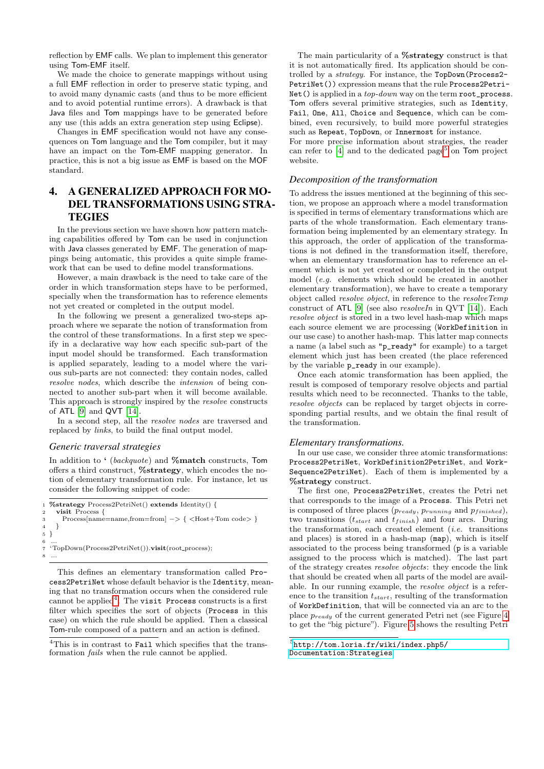reflection by EMF calls. We plan to implement this generator using Tom-EMF itself.

We made the choice to generate mappings without using a full EMF reflection in order to preserve static typing, and to avoid many dynamic casts (and thus to be more efficient and to avoid potential runtime errors). A drawback is that Java files and Tom mappings have to be generated before any use (this adds an extra generation step using Eclipse).

Changes in EMF specification would not have any consequences on Tom language and the Tom compiler, but it may have an impact on the Tom-EMF mapping generator. In practice, this is not a big issue as EMF is based on the MOF standard.

## 4. A GENERALIZED APPROACH FOR MO-DEL TRANSFORMATIONS USING STRA-**TEGIES**

In the previous section we have shown how pattern matching capabilities offered by Tom can be used in conjunction with Java classes generated by EMF. The generation of mappings being automatic, this provides a quite simple framework that can be used to define model transformations.

However, a main drawback is the need to take care of the order in which transformation steps have to be performed, specially when the transformation has to reference elements not yet created or completed in the output model.

In the following we present a generalized two-steps approach where we separate the notion of transformation from the control of these transformations. In a first step we specify in a declarative way how each specific sub-part of the input model should be transformed. Each transformation is applied separately, leading to a model where the various sub-parts are not connected: they contain nodes, called resolve nodes, which describe the *intension* of being connected to another sub-part when it will become available. This approach is strongly inspired by the resolve constructs of  $ATL$  [9] and  $QVT$  [14].

In a second step, all the *resolve nodes* are traversed and replaced by links, to build the final output model.

#### *Generic traversal strategies*

In addition to ' (backquote) and %match constructs, Tom offers a third construct, %strategy, which encodes the notion of elementary transformation rule. For instance, let us consider the following snippet of code:

```
%strategy Process2PetriNet() extends Identity() {
    visit Process {
3 Process[name=name,from=from] −> { <Host+Tom code> }
\overline{4}5 }
6 ...
  'TopDown(Process2PetriNet()).visit(root_process);
8 ...
```
This defines an elementary transformation called Process2PetriNet whose default behavior is the Identity, meaning that no transformation occurs when the considered rule cannot be applied<sup>4</sup>. The visit Process constructs is a first filter which specifies the sort of objects (Process in this case) on which the rule should be applied. Then a classical Tom-rule composed of a pattern and an action is defined.

The main particularity of a %strategy construct is that it is not automatically fired. Its application should be controlled by a strategy. For instance, the TopDown(Process2- PetriNet()) expression means that the rule Process2Petri-Net () is applied in a *top-down* way on the term root\_process. Tom offers several primitive strategies, such as Identity, Fail, One, All, Choice and Sequence, which can be combined, even recursively, to build more powerful strategies such as Repeat, TopDown, or Innermost for instance.

For more precise information about strategies, the reader can refer to  $[4]$  and to the dedicated page<sup>5</sup> on Tom project website.

#### *Decomposition of the transformation*

To address the issues mentioned at the beginning of this section, we propose an approach where a model transformation is specified in terms of elementary transformations which are parts of the whole transformation. Each elementary transformation being implemented by an elementary strategy. In this approach, the order of application of the transformations is not defined in the transformation itself, therefore, when an elementary transformation has to reference an element which is not yet created or completed in the output model (e.g. elements which should be created in another elementary transformation), we have to create a temporary object called resolve object, in reference to the resolveTemp construct of ATL [9] (see also  $resolveIn$  in QVT [14]). Each resolve object is stored in a two level hash-map which maps each source element we are processing (WorkDefinition in our use case) to another hash-map. This latter map connects a name (a label such as "p\_ready" for example) to a target element which just has been created (the place referenced by the variable p\_ready in our example).

Once each atomic transformation has been applied, the result is composed of temporary resolve objects and partial results which need to be reconnected. Thanks to the table, resolve objects can be replaced by target objects in corresponding partial results, and we obtain the final result of the transformation.

#### *Elementary transformations.*

In our use case, we consider three atomic transformations: Process2PetriNet, WorkDefinition2PetriNet, and Work-Sequence2PetriNet). Each of them is implemented by a %strategy construct.

The first one, Process2PetriNet, creates the Petri net that corresponds to the image of a Process. This Petri net is composed of three places  $(p_{ready}, p_{running} \text{ and } p_{ finished}),$ two transitions  $(t_{start}$  and  $t_{finish})$  and four arcs. During the transformation, each created element  $(i.e.$  transitions and places) is stored in a hash-map (map), which is itself associated to the process being transformed (p is a variable assigned to the process which is matched). The last part of the strategy creates resolve objects: they encode the link that should be created when all parts of the model are available. In our running example, the resolve object is a reference to the transition  $t_{start}$ , resulting of the transformation of WorkDefinition, that will be connected via an arc to the place  $p_{ready}$  of the current generated Petri net (see Figure 4 to get the "big picture"). Figure 5 shows the resulting Petri

<sup>&</sup>lt;sup>4</sup>This is in contrast to Fail which specifies that the transformation fails when the rule cannot be applied.

<sup>5</sup> [http://tom.loria.fr/wiki/index.php5/](http://tom.loria.fr/wiki/index.php5/Documentation:Strategies) [Documentation:Strategies](http://tom.loria.fr/wiki/index.php5/Documentation:Strategies)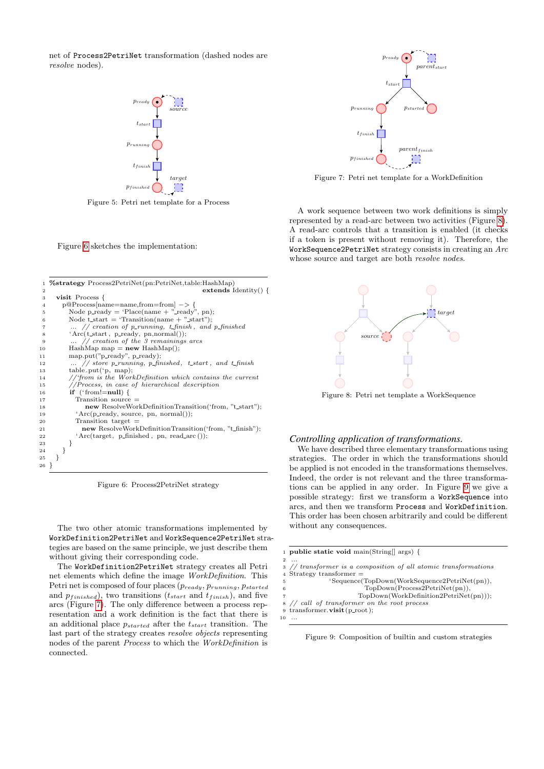net of Process2PetriNet transformation (dashed nodes are resolve nodes).



Figure 5: Petri net template for a Process

Figure 6 sketches the implementation:

```
1 %strategy Process2PetriNet(pn:PetriNet,table:HashMap)
2 extends Identity() {
3 visit Process {
       4 p@Process[name=name,from=from] −> {
          Node p-ready = 'Place(name + "-ready", pn);
          Node \text{t\_start} = \text{'}\text{Transition}(\text{name} + \text{"\_start"});// creation of p_running, t_finish, and p_finished
 8 'Arc(t_start, p_ready, pn,normal());<br>9 ... // creation of the 3 remainings arcs
10 HashMap map = new HashMap();<br>
11 map.put("p_ready", p_ready);
11 map.put("p_ready", p_ready);<br>12 ... // store p_running, p_fin
                1/ store p_running, p_finished, t_start, and t_finish
13 table.put('p, map);
14 //'from is the WorkDefinition which contains the current
15 //Process, in case of hierarchical description
16 if ('from!=null) {<br>17 Transition source
17 Transition source<br>18 new ResolveV
18 new ResolveWorkDefinitionTransition('from, "t_start");<br>
'Arc(p_ready, source, pn, normal());
             'Arc(p_ready, source, pn, normal());
20 Transition target =<br>21 new ResolveWork
21 new ResolveWorkDefinitionTransition('from, "t_finish");<br>22 'Arc(target, p_finished, pn, read_arc());
             'Arc(target, p\_finished, pn, read_arc());
23 }
24 }
25 }
26 }
```
Figure 6: Process2PetriNet strategy

The two other atomic transformations implemented by WorkDefinition2PetriNet and WorkSequence2PetriNet strategies are based on the same principle, we just describe them without giving their corresponding code.

The WorkDefinition2PetriNet strategy creates all Petri net elements which define the image WorkDefinition. This Petri net is composed of four places ( $p_{ready}, p_{running}, p_{started}$ and  $p_{finished}$ , two transitions  $(t_{start}$  and  $t_{finish})$ , and five arcs (Figure 7). The only difference between a process representation and a work definition is the fact that there is an additional place  $p_{\text{started}}$  after the  $t_{\text{start}}$  transition. The last part of the strategy creates resolve objects representing nodes of the parent Process to which the WorkDefinition is connected.



Figure 7: Petri net template for a WorkDefinition

A work sequence between two work definitions is simply represented by a read-arc between two activities (Figure 8). A read-arc controls that a transition is enabled (it checks if a token is present without removing it). Therefore, the WorkSequence2PetriNet strategy consists in creating an Arc whose source and target are both *resolve nodes*.



Figure 8: Petri net template a WorkSequence

#### *Controlling application of transformations.*

We have described three elementary transformations using strategies. The order in which the transformations should be applied is not encoded in the transformations themselves. Indeed, the order is not relevant and the three transformations can be applied in any order. In Figure 9 we give a possible strategy: first we transform a WorkSequence into arcs, and then we transform Process and WorkDefinition. This order has been chosen arbitrarily and could be different without any consequences.

```
public static void main(String[] args) {
 2 ...
    3 / transformer is a composition of all atomic transformations
   \overleftrightarrow{\textrm{Strategy}} transformer =
                5 'Sequence(TopDown(WorkSequence2PetriNet(pn)),
                            T_{OD}Down(Process2PetriNet(pn))
                          7 TopDown(WorkDefinition2PetriNet(pn)));
   // call of transformer on the root process
9 transformer. visit (p_root);
10 ...
```
Figure 9: Composition of builtin and custom strategies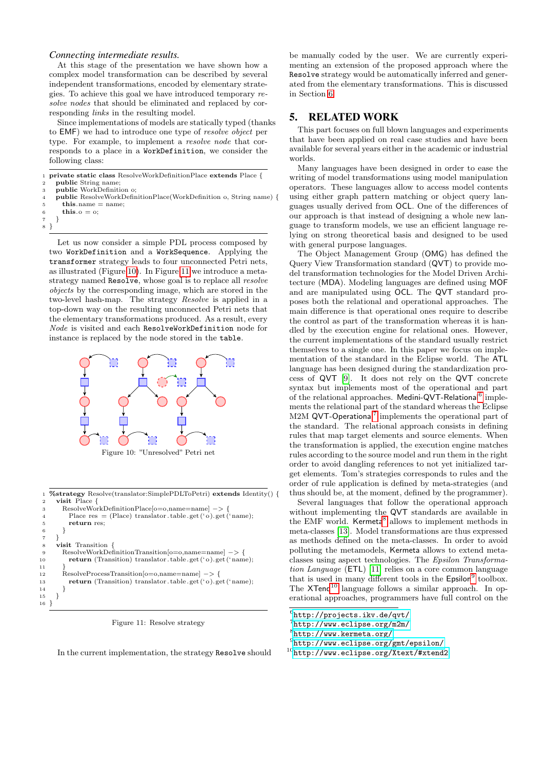#### *Connecting intermediate results.*

At this stage of the presentation we have shown how a complex model transformation can be described by several independent transformations, encoded by elementary strategies. To achieve this goal we have introduced temporary resolve nodes that should be eliminated and replaced by corresponding links in the resulting model.

Since implementations of models are statically typed (thanks to EMF) we had to introduce one type of resolve object per type. For example, to implement a resolve node that corresponds to a place in a WorkDefinition, we consider the following class:

```
1 private static class ResolveWorkDefinitionPlace extends Place {
   public String name:
   public WorkDefinition of
```

```
public ResolveWorkDefinitionPlace(WorkDefinition o, String name) {
 this.name = name;this.o = o;
```

```
7 }
```

```
8 }
```
16 }

Let us now consider a simple PDL process composed by two WorkDefinition and a WorkSequence. Applying the transformer strategy leads to four unconnected Petri nets, as illustrated (Figure 10). In Figure 11 we introduce a metastrategy named Resolve, whose goal is to replace all resolve objects by the corresponding image, which are stored in the two-level hash-map. The strategy Resolve is applied in a top-down way on the resulting unconnected Petri nets that the elementary transformations produced. As a result, every Node is visited and each ResolveWorkDefinition node for instance is replaced by the node stored in the table.



1 %strategy Resolve(translator:SimplePDLToPetri) extends Identity() { 2 visit Place {  ${\bf ResolveWorkDefinitionPlace[o=o, name=name] \ -}$ 

```
Place res = (Place) translator . table .get ('o).get ('name);
5 return res;
\epsilon7 }
8 visit Transition {
9 ResolveWorkDefinitionTransition[o=o,name=name] −> {
10 return (Transition) translator . table .get ('o).get ('name);
\begin{array}{c} 11 \\ 12 \end{array}12 ResolveProcessTransition[o=o,name=name] −> {
13 return (Transition) translator . table .get ('o).get ('name);
\begin{matrix} 14 \\ 15 \end{matrix}15 }
```
Figure 11: Resolve strategy

In the current implementation, the strategy Resolve should

be manually coded by the user. We are currently experimenting an extension of the proposed approach where the Resolve strategy would be automatically inferred and generated from the elementary transformations. This is discussed in Section 6.

#### 5. RELATED WORK

This part focuses on full blown languages and experiments that have been applied on real case studies and have been available for several years either in the academic or industrial worlds.

Many languages have been designed in order to ease the writing of model transformations using model manipulation operators. These languages allow to access model contents using either graph pattern matching or object query languages usually derived from OCL. One of the differences of our approach is that instead of designing a whole new language to transform models, we use an efficient language relying on strong theoretical basis and designed to be used with general purpose languages.

The Object Management Group (OMG) has defined the Query View Transformation standard (QVT) to provide model transformation technologies for the Model Driven Architecture (MDA). Modeling languages are defined using MOF and are manipulated using OCL. The QVT standard proposes both the relational and operational approaches. The main difference is that operational ones require to describe the control as part of the transformation whereas it is handled by the execution engine for relational ones. However, the current implementations of the standard usually restrict themselves to a single one. In this paper we focus on implementation of the standard in the Eclipse world. The ATL language has been designed during the standardization process of QVT [9]. It does not rely on the QVT concrete syntax but implements most of the operational and part of the relational approaches. Medini-QVT-Relational<sup>6</sup> implements the relational part of the standard whereas the Eclipse M2M QVT-Operational<sup>7</sup> implements the operational part of the standard. The relational approach consists in defining rules that map target elements and source elements. When the transformation is applied, the execution engine matches rules according to the source model and run them in the right order to avoid dangling references to not yet initialized target elements. Tom's strategies corresponds to rules and the order of rule application is defined by meta-strategies (and thus should be, at the moment, defined by the programmer).

Several languages that follow the operational approach without implementing the QVT standards are available in the EMF world. Kermeta<sup>8</sup> allows to implement methods in meta-classes [13]. Model transformations are thus expressed as methods defined on the meta-classes. In order to avoid polluting the metamodels, Kermeta allows to extend metaclasses using aspect technologies. The Epsilon Transformation Language (ETL) [11] relies on a core common language that is used in many different tools in the Epsilon<sup>9</sup> toolbox. The  $XTend<sup>10</sup>$  language follows a similar approach. In operational approaches, programmers have full control on the

```
6
http://projects.ikv.de/qvt/
```

```
7
http://www.eclipse.org/m2m/
```

```
8
http://www.kermeta.org/
```

```
9
http://www.eclipse.org/gmt/epsilon/
```

```
10http://www.eclipse.org/Xtext/#xtend2
```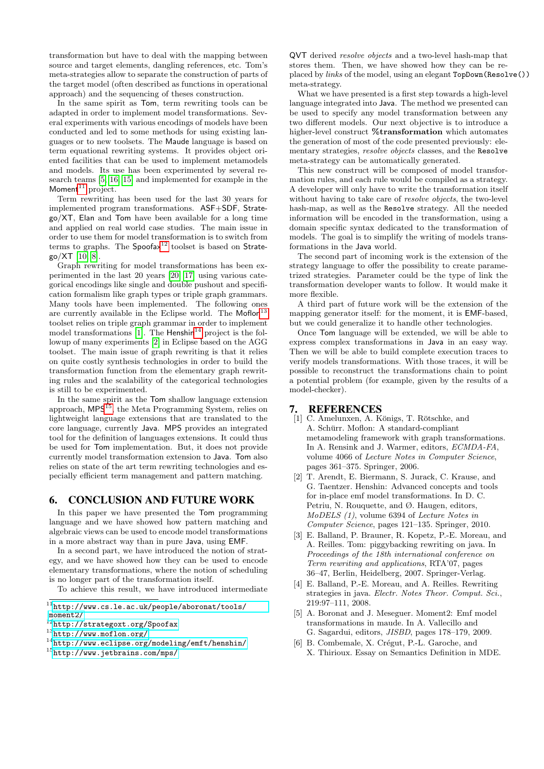transformation but have to deal with the mapping between source and target elements, dangling references, etc. Tom's meta-strategies allow to separate the construction of parts of the target model (often described as functions in operational approach) and the sequencing of theses construction.

In the same spirit as Tom, term rewriting tools can be adapted in order to implement model transformations. Several experiments with various encodings of models have been conducted and led to some methods for using existing languages or to new toolsets. The Maude language is based on term equational rewriting systems. It provides object oriented facilities that can be used to implement metamodels and models. Its use has been experimented by several research teams [5, 16, 15] and implemented for example in the Moment $11$  project.

Term rewriting has been used for the last 30 years for implemented program transformations. ASF+SDF, Stratego/XT, Elan and Tom have been available for a long time and applied on real world case studies. The main issue in order to use them for model transformation is to switch from terms to graphs. The  $\text{Spoofax}^{12}$  toolset is based on Stratego/XT [10, 8].

Graph rewriting for model transformations has been experimented in the last 20 years [20, 17] using various categorical encodings like single and double pushout and specification formalism like graph types or triple graph grammars. Many tools have been implemented. The following ones are currently available in the Eclipse world. The  $Moflon<sup>13</sup>$ toolset relies on triple graph grammar in order to implement model transformations  $[1]$ . The Henshin<sup>14</sup> project is the followup of many experiments [2] in Eclipse based on the AGG toolset. The main issue of graph rewriting is that it relies on quite costly synthesis technologies in order to build the transformation function from the elementary graph rewriting rules and the scalability of the categorical technologies is still to be experimented.

In the same spirit as the Tom shallow language extension approach,  $\mathsf{MPS}^{\hat{15}},$  the Meta Programming System, relies on lightweight language extensions that are translated to the core language, currently Java. MPS provides an integrated tool for the definition of languages extensions. It could thus be used for Tom implementation. But, it does not provide currently model transformation extension to Java. Tom also relies on state of the art term rewriting technologies and especially efficient term management and pattern matching.

#### 6. CONCLUSION AND FUTURE WORK

In this paper we have presented the Tom programming language and we have showed how pattern matching and algebraic views can be used to encode model transformations in a more abstract way than in pure Java, using EMF.

In a second part, we have introduced the notion of strategy, and we have showed how they can be used to encode elementary transformations, where the notion of scheduling is no longer part of the transformation itself.

To achieve this result, we have introduced intermediate

 $^{12}{\rm http://strategy.org/Spoofax}$ 

- <sup>14</sup><http://www.eclipse.org/modeling/emft/henshin/>
- <sup>15</sup><http://www.jetbrains.com/mps/>

QVT derived resolve objects and a two-level hash-map that stores them. Then, we have showed how they can be replaced by links of the model, using an elegant TopDown(Resolve()) meta-strategy.

What we have presented is a first step towards a high-level language integrated into Java. The method we presented can be used to specify any model transformation between any two different models. Our next objective is to introduce a higher-level construct %transformation which automates the generation of most of the code presented previously: elementary strategies, resolve objects classes, and the Resolve meta-strategy can be automatically generated.

This new construct will be composed of model transformation rules, and each rule would be compiled as a strategy. A developer will only have to write the transformation itself without having to take care of resolve objects, the two-level hash-map, as well as the Resolve strategy. All the needed information will be encoded in the transformation, using a domain specific syntax dedicated to the transformation of models. The goal is to simplify the writing of models transformations in the Java world.

The second part of incoming work is the extension of the strategy language to offer the possibility to create parametrized strategies. Parameter could be the type of link the transformation developer wants to follow. It would make it more flexible.

A third part of future work will be the extension of the mapping generator itself: for the moment, it is EMF-based, but we could generalize it to handle other technologies.

Once Tom language will be extended, we will be able to express complex transformations in Java in an easy way. Then we will be able to build complete execution traces to verify models transformations. With those traces, it will be possible to reconstruct the transformations chain to point a potential problem (for example, given by the results of a model-checker).

### **REFERENCES**

- [1] C. Amelunxen, A. Königs, T. Rötschke, and A. Schürr. Moflon: A standard-compliant metamodeling framework with graph transformations. In A. Rensink and J. Warmer, editors, ECMDA-FA, volume 4066 of Lecture Notes in Computer Science, pages 361–375. Springer, 2006.
- [2] T. Arendt, E. Biermann, S. Jurack, C. Krause, and G. Taentzer. Henshin: Advanced concepts and tools for in-place emf model transformations. In D. C. Petriu, N. Rouquette, and Ø. Haugen, editors, MoDELS (1), volume 6394 of Lecture Notes in Computer Science, pages 121–135. Springer, 2010.
- [3] E. Balland, P. Brauner, R. Kopetz, P.-E. Moreau, and A. Reilles. Tom: piggybacking rewriting on java. In Proceedings of the 18th international conference on Term rewriting and applications, RTA'07, pages 36–47, Berlin, Heidelberg, 2007. Springer-Verlag.
- [4] E. Balland, P.-E. Moreau, and A. Reilles. Rewriting strategies in java. Electr. Notes Theor. Comput. Sci., 219:97–111, 2008.
- [5] A. Boronat and J. Meseguer. Moment2: Emf model transformations in maude. In A. Vallecillo and G. Sagardui, editors, JISBD, pages 178–179, 2009.
- [6] B. Combemale, X. Crégut, P.-L. Garoche, and X. Thirioux. Essay on Semantics Definition in MDE.

 $^{11}\mathrm{http://www.cs.1e.ac.uk/people/aboronat/tools/}$ [moment2/](http://www.cs.le.ac.uk/people/aboronat/tools/moment2/)

<sup>13</sup><http://www.moflon.org/>